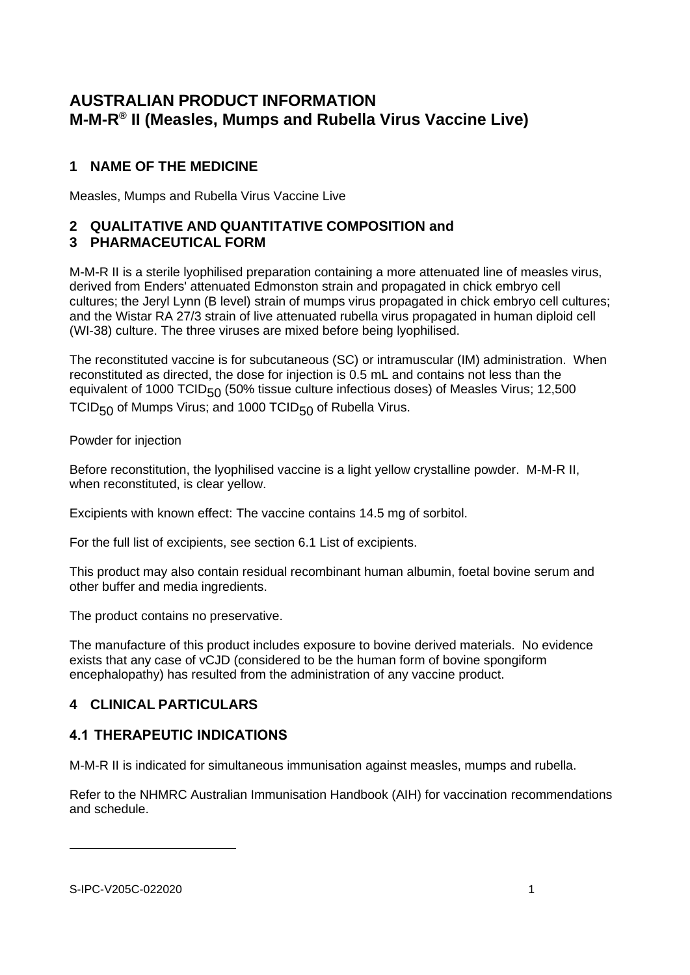# **AUSTRALIAN PRODUCT INFORMATION M-M-R® II (Measles, Mumps and Rubella Virus Vaccine Live)**

# **1 NAME OF THE MEDICINE**

Measles, Mumps and Rubella Virus Vaccine Live

# **2 QUALITATIVE AND QUANTITATIVE COMPOSITION and**

# **3 PHARMACEUTICAL FORM**

M-M-R II is a sterile lyophilised preparation containing a more attenuated line of measles virus, derived from Enders' attenuated Edmonston strain and propagated in chick embryo cell cultures; the Jeryl Lynn (B level) strain of mumps virus propagated in chick embryo cell cultures; and the Wistar RA 27/3 strain of live attenuated rubella virus propagated in human diploid cell (WI-38) culture. The three viruses are mixed before being lyophilised.

The reconstituted vaccine is for subcutaneous (SC) or intramuscular (IM) administration. When reconstituted as directed, the dose for injection is 0.5 mL and contains not less than the equivalent of 1000 TCID<sub>50</sub> (50% tissue culture infectious doses) of Measles Virus; 12,500 TCID<sub>50</sub> of Mumps Virus; and 1000 TCID<sub>50</sub> of Rubella Virus.

Powder for injection

Before reconstitution, the lyophilised vaccine is a light yellow crystalline powder. M-M-R II, when reconstituted, is clear yellow.

Excipients with known effect: The vaccine contains 14.5 mg of sorbitol.

For the full list of excipients, see section 6.1 List of excipients.

This product may also contain residual recombinant human albumin, foetal bovine serum and other buffer and media ingredients.

The product contains no preservative.

The manufacture of this product includes exposure to bovine derived materials. No evidence exists that any case of vCJD (considered to be the human form of bovine spongiform encephalopathy) has resulted from the administration of any vaccine product.

# **4 CLINICAL PARTICULARS**

# **4.1 THERAPEUTIC INDICATIONS**

M-M-R II is indicated for simultaneous immunisation against measles, mumps and rubella.

Refer to the NHMRC Australian Immunisation Handbook (AIH) for vaccination recommendations and schedule.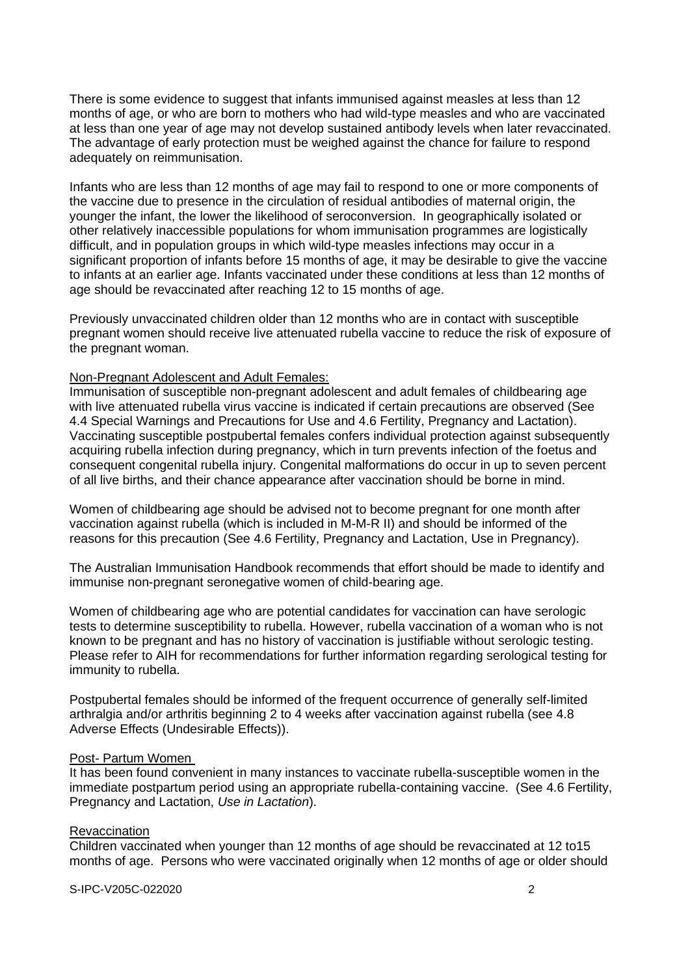There is some evidence to suggest that infants immunised against measles at less than 12 months of age, or who are born to mothers who had wild-type measles and who are vaccinated at less than one year of age may not develop sustained antibody levels when later revaccinated. The advantage of early protection must be weighed against the chance for failure to respond adequately on reimmunisation.

Infants who are less than 12 months of age may fail to respond to one or more components of the vaccine due to presence in the circulation of residual antibodies of maternal origin, the younger the infant, the lower the likelihood of seroconversion. In geographically isolated or other relatively inaccessible populations for whom immunisation programmes are logistically difficult, and in population groups in which wild-type measles infections may occur in a significant proportion of infants before 15 months of age, it may be desirable to give the vaccine to infants at an earlier age. Infants vaccinated under these conditions at less than 12 months of age should be revaccinated after reaching 12 to 15 months of age.

Previously unvaccinated children older than 12 months who are in contact with susceptible pregnant women should receive live attenuated rubella vaccine to reduce the risk of exposure of the pregnant woman.

### Non-Pregnant Adolescent and Adult Females:

Immunisation of susceptible non-pregnant adolescent and adult females of childbearing age with live attenuated rubella virus vaccine is indicated if certain precautions are observed (See 4.4 Special Warnings and Precautions for Use and 4.6 Fertility, Pregnancy and Lactation). Vaccinating susceptible postpubertal females confers individual protection against subsequently acquiring rubella infection during pregnancy, which in turn prevents infection of the foetus and consequent congenital rubella injury. Congenital malformations do occur in up to seven percent of all live births, and their chance appearance after vaccination should be borne in mind.

Women of childbearing age should be advised not to become pregnant for one month after vaccination against rubella (which is included in M-M-R II) and should be informed of the reasons for this precaution (See 4.6 Fertility, Pregnancy and Lactation, Use in Pregnancy).

The Australian Immunisation Handbook recommends that effort should be made to identify and immunise non-pregnant seronegative women of child-bearing age.

Women of childbearing age who are potential candidates for vaccination can have serologic tests to determine susceptibility to rubella. However, rubella vaccination of a woman who is not known to be pregnant and has no history of vaccination is justifiable without serologic testing. Please refer to AIH for recommendations for further information regarding serological testing for immunity to rubella.

Postpubertal females should be informed of the frequent occurrence of generally self-limited arthralgia and/or arthritis beginning 2 to 4 weeks after vaccination against rubella (see 4.8 Adverse Effects (Undesirable Effects)).

### Post- Partum Women

It has been found convenient in many instances to vaccinate rubella-susceptible women in the immediate postpartum period using an appropriate rubella-containing vaccine. (See 4.6 Fertility, Pregnancy and Lactation, *Use in Lactation*).

### **Revaccination**

Children vaccinated when younger than 12 months of age should be revaccinated at 12 to15 months of age. Persons who were vaccinated originally when 12 months of age or older should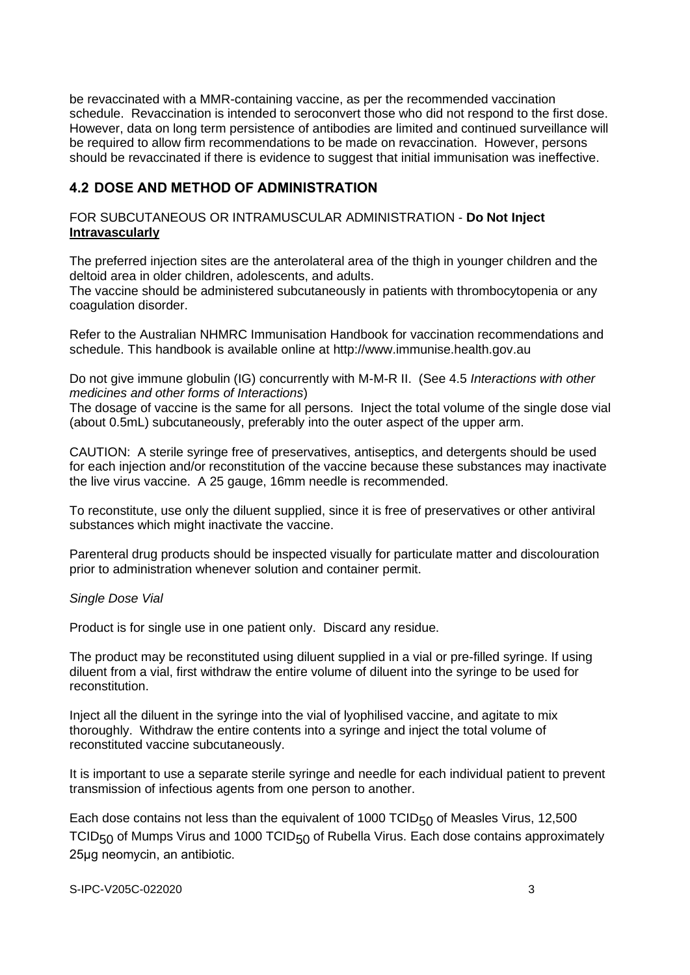be revaccinated with a MMR-containing vaccine, as per the recommended vaccination schedule. Revaccination is intended to seroconvert those who did not respond to the first dose. However, data on long term persistence of antibodies are limited and continued surveillance will be required to allow firm recommendations to be made on revaccination. However, persons should be revaccinated if there is evidence to suggest that initial immunisation was ineffective.

# **4.2 DOSE AND METHOD OF ADMINISTRATION**

## FOR SUBCUTANEOUS OR INTRAMUSCULAR ADMINISTRATION - **Do Not Inject Intravascularly**

The preferred injection sites are the anterolateral area of the thigh in younger children and the deltoid area in older children, adolescents, and adults.

The vaccine should be administered subcutaneously in patients with thrombocytopenia or any coagulation disorder.

Refer to the Australian NHMRC Immunisation Handbook for vaccination recommendations and schedule. This handbook is available online at [http://www.immunise.health.gov.au](http://www.immunise.health.gov.au/)

Do not give immune globulin (IG) concurrently with M-M-R II. (See 4.5 *Interactions with other medicines and other forms of Interactions*)

The dosage of vaccine is the same for all persons. Inject the total volume of the single dose vial (about 0.5mL) subcutaneously, preferably into the outer aspect of the upper arm.

CAUTION: A sterile syringe free of preservatives, antiseptics, and detergents should be used for each injection and/or reconstitution of the vaccine because these substances may inactivate the live virus vaccine. A 25 gauge, 16mm needle is recommended.

To reconstitute, use only the diluent supplied, since it is free of preservatives or other antiviral substances which might inactivate the vaccine.

Parenteral drug products should be inspected visually for particulate matter and discolouration prior to administration whenever solution and container permit.

### *Single Dose Vial*

Product is for single use in one patient only. Discard any residue.

The product may be reconstituted using diluent supplied in a vial or pre-filled syringe. If using diluent from a vial, first withdraw the entire volume of diluent into the syringe to be used for reconstitution.

Inject all the diluent in the syringe into the vial of lyophilised vaccine, and agitate to mix thoroughly. Withdraw the entire contents into a syringe and inject the total volume of reconstituted vaccine subcutaneously.

It is important to use a separate sterile syringe and needle for each individual patient to prevent transmission of infectious agents from one person to another.

Each dose contains not less than the equivalent of 1000 TCID $_{50}$  of Measles Virus, 12,500 TCID $_{50}$  of Mumps Virus and 1000 TCID $_{50}$  of Rubella Virus. Each dose contains approximately 25μg neomycin, an antibiotic.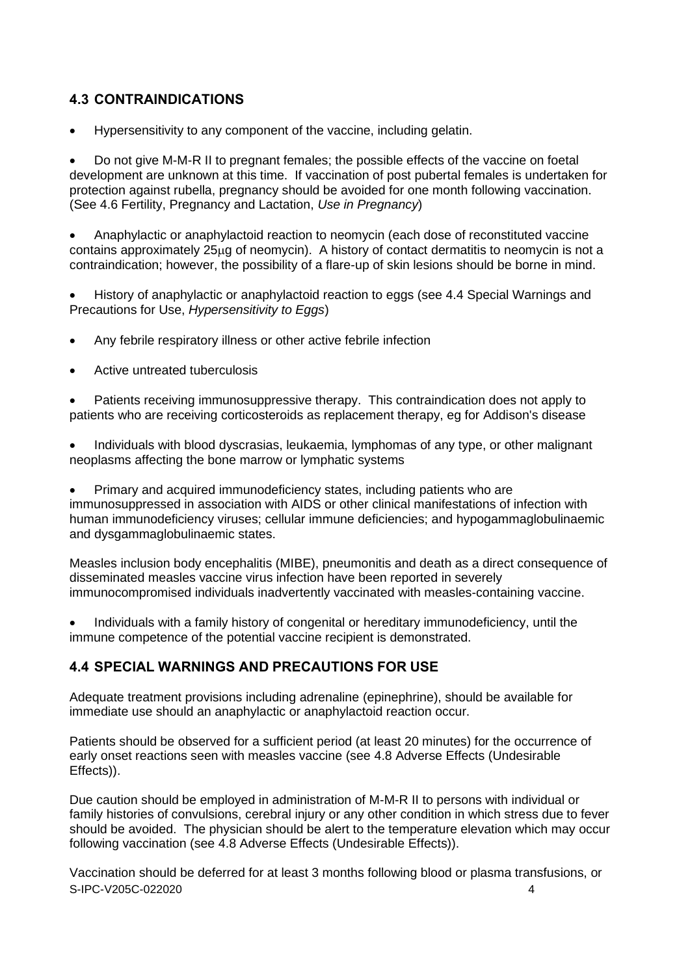# **4.3 CONTRAINDICATIONS**

• Hypersensitivity to any component of the vaccine, including gelatin.

• Do not give M-M-R II to pregnant females; the possible effects of the vaccine on foetal development are unknown at this time. If vaccination of post pubertal females is undertaken for protection against rubella, pregnancy should be avoided for one month following vaccination. (See 4.6 Fertility, Pregnancy and Lactation, *Use in Pregnancy*)

• Anaphylactic or anaphylactoid reaction to neomycin (each dose of reconstituted vaccine contains approximately 25ug of neomycin). A history of contact dermatitis to neomycin is not a contraindication; however, the possibility of a flare-up of skin lesions should be borne in mind.

• History of anaphylactic or anaphylactoid reaction to eggs (see 4.4 Special Warnings and Precautions for Use, *Hypersensitivity to Eggs*)

- Any febrile respiratory illness or other active febrile infection
- Active untreated tuberculosis

• Patients receiving immunosuppressive therapy. This contraindication does not apply to patients who are receiving corticosteroids as replacement therapy, eg for Addison's disease

• Individuals with blood dyscrasias, leukaemia, lymphomas of any type, or other malignant neoplasms affecting the bone marrow or lymphatic systems

• Primary and acquired immunodeficiency states, including patients who are immunosuppressed in association with AIDS or other clinical manifestations of infection with human immunodeficiency viruses; cellular immune deficiencies; and hypogammaglobulinaemic and dysgammaglobulinaemic states.

Measles inclusion body encephalitis (MIBE), pneumonitis and death as a direct consequence of disseminated measles vaccine virus infection have been reported in severely immunocompromised individuals inadvertently vaccinated with measles-containing vaccine.

• Individuals with a family history of congenital or hereditary immunodeficiency, until the immune competence of the potential vaccine recipient is demonstrated.

# **4.4 SPECIAL WARNINGS AND PRECAUTIONS FOR USE**

Adequate treatment provisions including adrenaline (epinephrine), should be available for immediate use should an anaphylactic or anaphylactoid reaction occur.

Patients should be observed for a sufficient period (at least 20 minutes) for the occurrence of early onset reactions seen with measles vaccine (see 4.8 Adverse Effects (Undesirable Effects)).

Due caution should be employed in administration of M-M-R II to persons with individual or family histories of convulsions, cerebral injury or any other condition in which stress due to fever should be avoided. The physician should be alert to the temperature elevation which may occur following vaccination (see 4.8 Adverse Effects (Undesirable Effects)).

S-IPC-V205C-022020 4 Vaccination should be deferred for at least 3 months following blood or plasma transfusions, or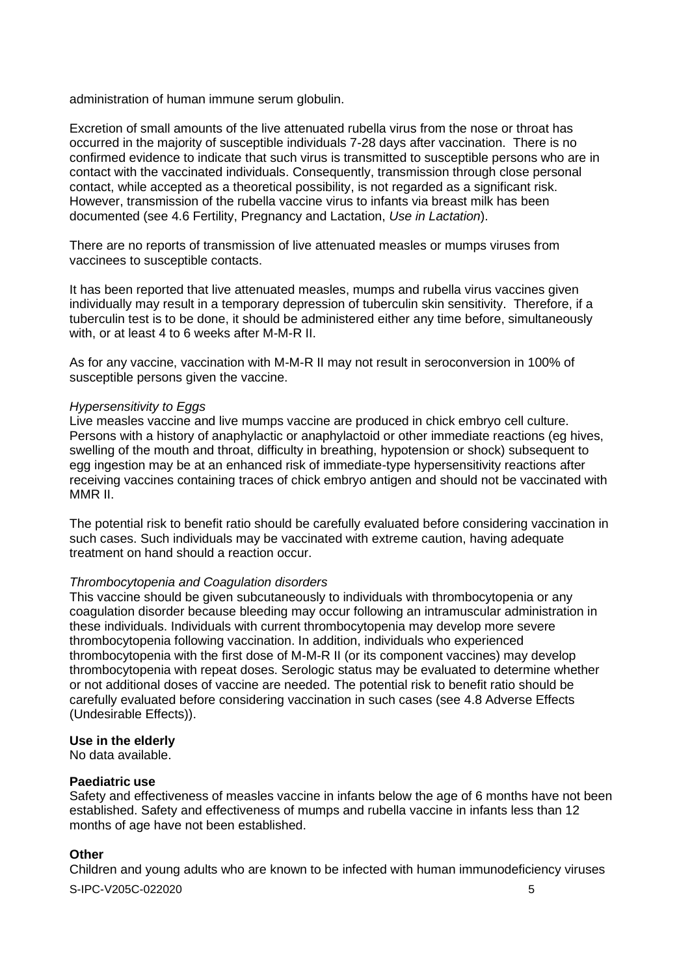administration of human immune serum globulin.

Excretion of small amounts of the live attenuated rubella virus from the nose or throat has occurred in the majority of susceptible individuals 7-28 days after vaccination. There is no confirmed evidence to indicate that such virus is transmitted to susceptible persons who are in contact with the vaccinated individuals. Consequently, transmission through close personal contact, while accepted as a theoretical possibility, is not regarded as a significant risk. However, transmission of the rubella vaccine virus to infants via breast milk has been documented (see 4.6 Fertility, Pregnancy and Lactation, *Use in Lactation*).

There are no reports of transmission of live attenuated measles or mumps viruses from vaccinees to susceptible contacts.

It has been reported that live attenuated measles, mumps and rubella virus vaccines given individually may result in a temporary depression of tuberculin skin sensitivity. Therefore, if a tuberculin test is to be done, it should be administered either any time before, simultaneously with, or at least 4 to 6 weeks after M-M-R II.

As for any vaccine, vaccination with M-M-R II may not result in seroconversion in 100% of susceptible persons given the vaccine.

#### *Hypersensitivity to Eggs*

Live measles vaccine and live mumps vaccine are produced in chick embryo cell culture. Persons with a history of anaphylactic or anaphylactoid or other immediate reactions (eg hives, swelling of the mouth and throat, difficulty in breathing, hypotension or shock) subsequent to egg ingestion may be at an enhanced risk of immediate-type hypersensitivity reactions after receiving vaccines containing traces of chick embryo antigen and should not be vaccinated with MMR II.

The potential risk to benefit ratio should be carefully evaluated before considering vaccination in such cases. Such individuals may be vaccinated with extreme caution, having adequate treatment on hand should a reaction occur.

#### *Thrombocytopenia and Coagulation disorders*

This vaccine should be given subcutaneously to individuals with thrombocytopenia or any coagulation disorder because bleeding may occur following an intramuscular administration in these individuals. Individuals with current thrombocytopenia may develop more severe thrombocytopenia following vaccination. In addition, individuals who experienced thrombocytopenia with the first dose of M-M-R II (or its component vaccines) may develop thrombocytopenia with repeat doses. Serologic status may be evaluated to determine whether or not additional doses of vaccine are needed. The potential risk to benefit ratio should be carefully evaluated before considering vaccination in such cases (see 4.8 Adverse Effects (Undesirable Effects)).

### **Use in the elderly**

No data available.

## **Paediatric use**

Safety and effectiveness of measles vaccine in infants below the age of 6 months have not been established. Safety and effectiveness of mumps and rubella vaccine in infants less than 12 months of age have not been established.

### **Other**

Children and young adults who are known to be infected with human immunodeficiency viruses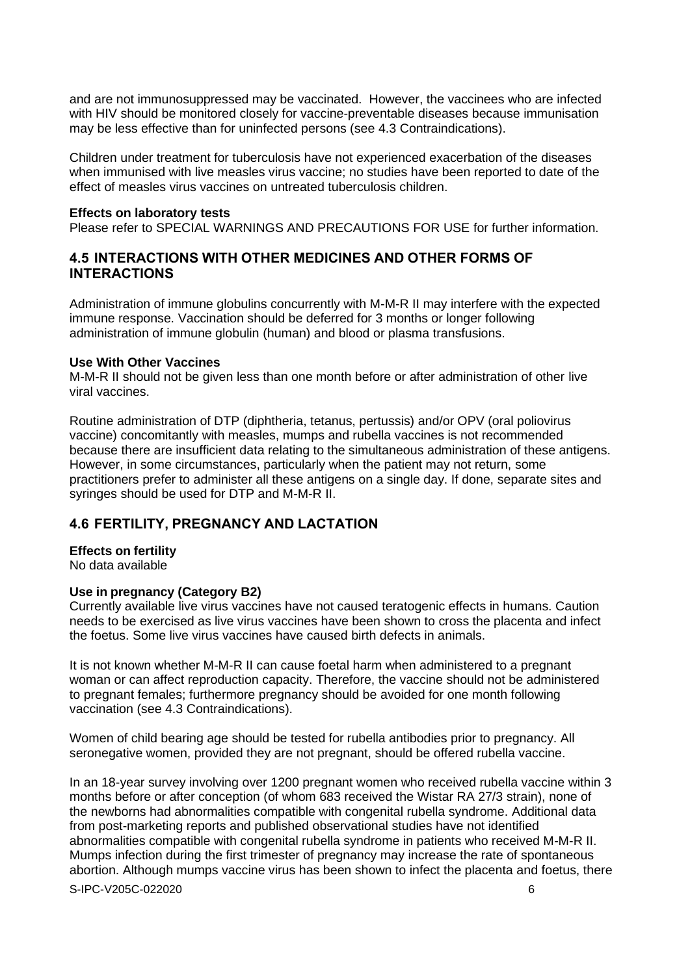and are not immunosuppressed may be vaccinated. However, the vaccinees who are infected with HIV should be monitored closely for vaccine-preventable diseases because immunisation may be less effective than for uninfected persons (see 4.3 Contraindications).

Children under treatment for tuberculosis have not experienced exacerbation of the diseases when immunised with live measles virus vaccine; no studies have been reported to date of the effect of measles virus vaccines on untreated tuberculosis children.

#### **Effects on laboratory tests**

Please refer to SPECIAL WARNINGS AND PRECAUTIONS FOR USE for further information.

## **4.5 INTERACTIONS WITH OTHER MEDICINES AND OTHER FORMS OF INTERACTIONS**

Administration of immune globulins concurrently with M-M-R II may interfere with the expected immune response. Vaccination should be deferred for 3 months or longer following administration of immune globulin (human) and blood or plasma transfusions.

### **Use With Other Vaccines**

M-M-R II should not be given less than one month before or after administration of other live viral vaccines.

Routine administration of DTP (diphtheria, tetanus, pertussis) and/or OPV (oral poliovirus vaccine) concomitantly with measles, mumps and rubella vaccines is not recommended because there are insufficient data relating to the simultaneous administration of these antigens. However, in some circumstances, particularly when the patient may not return, some practitioners prefer to administer all these antigens on a single day. If done, separate sites and syringes should be used for DTP and M-M-R II.

## **4.6 FERTILITY, PREGNANCY AND LACTATION**

### **Effects on fertility**

No data available

## **Use in pregnancy (Category B2)**

Currently available live virus vaccines have not caused teratogenic effects in humans. Caution needs to be exercised as live virus vaccines have been shown to cross the placenta and infect the foetus. Some live virus vaccines have caused birth defects in animals.

It is not known whether M-M-R II can cause foetal harm when administered to a pregnant woman or can affect reproduction capacity. Therefore, the vaccine should not be administered to pregnant females; furthermore pregnancy should be avoided for one month following vaccination (see 4.3 Contraindications).

Women of child bearing age should be tested for rubella antibodies prior to pregnancy. All seronegative women, provided they are not pregnant, should be offered rubella vaccine.

In an 18-year survey involving over 1200 pregnant women who received rubella vaccine within 3 months before or after conception (of whom 683 received the Wistar RA 27/3 strain), none of the newborns had abnormalities compatible with congenital rubella syndrome. Additional data from post-marketing reports and published observational studies have not identified abnormalities compatible with congenital rubella syndrome in patients who received M-M-R II. Mumps infection during the first trimester of pregnancy may increase the rate of spontaneous abortion. Although mumps vaccine virus has been shown to infect the placenta and foetus, there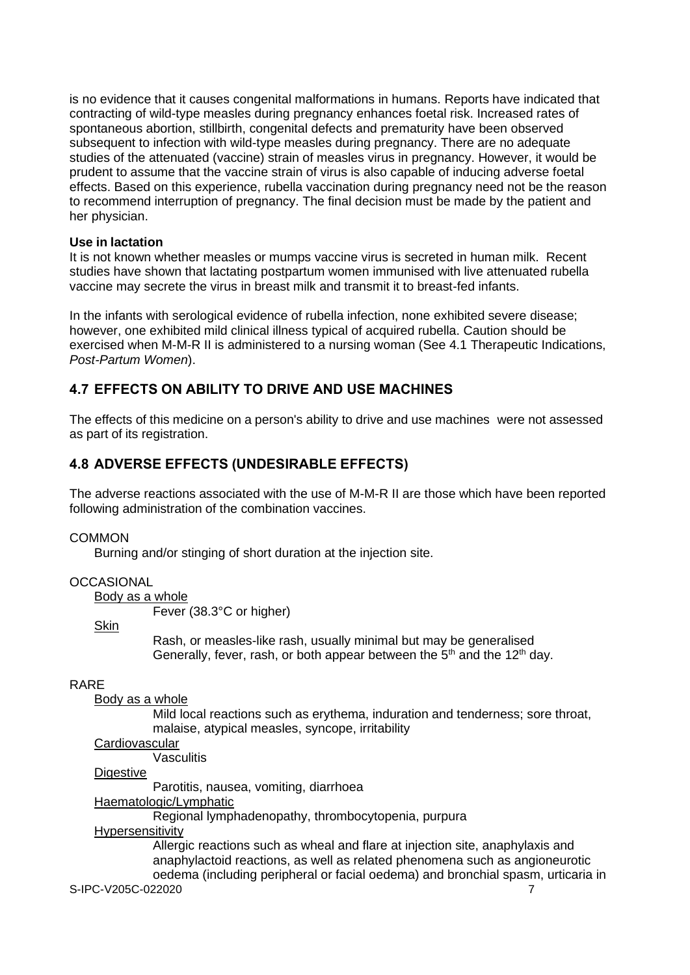is no evidence that it causes congenital malformations in humans. Reports have indicated that contracting of wild-type measles during pregnancy enhances foetal risk. Increased rates of spontaneous abortion, stillbirth, congenital defects and prematurity have been observed subsequent to infection with wild-type measles during pregnancy. There are no adequate studies of the attenuated (vaccine) strain of measles virus in pregnancy. However, it would be prudent to assume that the vaccine strain of virus is also capable of inducing adverse foetal effects. Based on this experience, rubella vaccination during pregnancy need not be the reason to recommend interruption of pregnancy. The final decision must be made by the patient and her physician.

## **Use in lactation**

It is not known whether measles or mumps vaccine virus is secreted in human milk. Recent studies have shown that lactating postpartum women immunised with live attenuated rubella vaccine may secrete the virus in breast milk and transmit it to breast-fed infants.

In the infants with serological evidence of rubella infection, none exhibited severe disease; however, one exhibited mild clinical illness typical of acquired rubella. Caution should be exercised when M-M-R II is administered to a nursing woman (See 4.1 Therapeutic Indications, *Post-Partum Women*).

# **4.7 EFFECTS ON ABILITY TO DRIVE AND USE MACHINES**

The effects of this medicine on a person's ability to drive and use machines were not assessed as part of its registration.

# **4.8 ADVERSE EFFECTS (UNDESIRABLE EFFECTS)**

The adverse reactions associated with the use of M-M-R II are those which have been reported following administration of the combination vaccines.

### **COMMON**

Burning and/or stinging of short duration at the injection site.

## **OCCASIONAL**

Body as a whole

Fever (38.3°C or higher)

**Skin** 

Rash, or measles-like rash, usually minimal but may be generalised Generally, fever, rash, or both appear between the  $5<sup>th</sup>$  and the 12<sup>th</sup> day.

## RARE

Body as a whole

Mild local reactions such as erythema, induration and tenderness; sore throat, malaise, atypical measles, syncope, irritability

### **Cardiovascular**

**Vasculitis** 

### **Digestive**

Parotitis, nausea, vomiting, diarrhoea

Haematologic/Lymphatic

Regional lymphadenopathy, thrombocytopenia, purpura

### Hypersensitivity

S-IPC-V205C-022020 7 Allergic reactions such as wheal and flare at injection site, anaphylaxis and anaphylactoid reactions, as well as related phenomena such as angioneurotic oedema (including peripheral or facial oedema) and bronchial spasm, urticaria in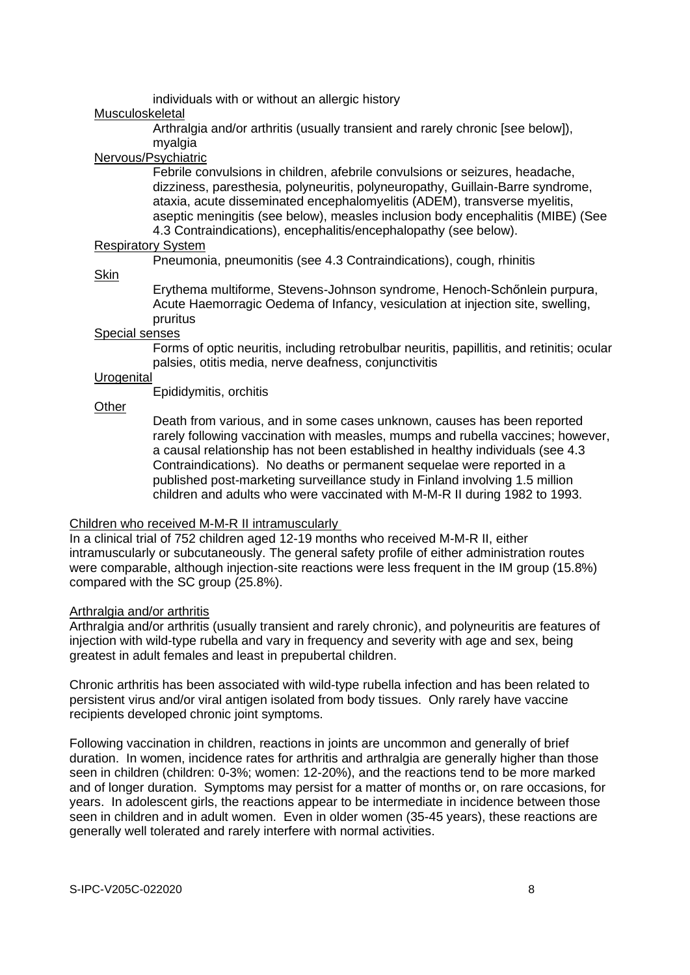individuals with or without an allergic history

### Musculoskeletal

Arthralgia and/or arthritis (usually transient and rarely chronic [see below]), myalgia

### Nervous/Psychiatric

Febrile convulsions in children, afebrile convulsions or seizures, headache, dizziness, paresthesia, polyneuritis, polyneuropathy, Guillain-Barre syndrome, ataxia, acute disseminated encephalomyelitis (ADEM), transverse myelitis, aseptic meningitis (see below), measles inclusion body encephalitis (MIBE) (See 4.3 Contraindications), encephalitis/encephalopathy (see below).

### **Respiratory System**

Pneumonia, pneumonitis (see 4.3 Contraindications), cough, rhinitis

#### Skin

Erythema multiforme, Stevens-Johnson syndrome, Henoch-Schőnlein purpura, Acute Haemorragic Oedema of Infancy, vesiculation at injection site, swelling, pruritus

#### Special senses

Forms of optic neuritis, including retrobulbar neuritis, papillitis, and retinitis; ocular palsies, otitis media, nerve deafness, conjunctivitis

### **Urogenital**

Epididymitis, orchitis

### **Other**

Death from various, and in some cases unknown, causes has been reported rarely following vaccination with measles, mumps and rubella vaccines; however, a causal relationship has not been established in healthy individuals (see 4.3 Contraindications). No deaths or permanent sequelae were reported in a published post-marketing surveillance study in Finland involving 1.5 million children and adults who were vaccinated with M-M-R II during 1982 to 1993.

## Children who received M-M-R II intramuscularly

In a clinical trial of 752 children aged 12-19 months who received M-M-R II, either intramuscularly or subcutaneously. The general safety profile of either administration routes were comparable, although injection-site reactions were less frequent in the IM group (15.8%) compared with the SC group (25.8%).

### Arthralgia and/or arthritis

Arthralgia and/or arthritis (usually transient and rarely chronic), and polyneuritis are features of injection with wild-type rubella and vary in frequency and severity with age and sex, being greatest in adult females and least in prepubertal children.

Chronic arthritis has been associated with wild-type rubella infection and has been related to persistent virus and/or viral antigen isolated from body tissues. Only rarely have vaccine recipients developed chronic joint symptoms.

Following vaccination in children, reactions in joints are uncommon and generally of brief duration. In women, incidence rates for arthritis and arthralgia are generally higher than those seen in children (children: 0-3%; women: 12-20%), and the reactions tend to be more marked and of longer duration. Symptoms may persist for a matter of months or, on rare occasions, for years. In adolescent girls, the reactions appear to be intermediate in incidence between those seen in children and in adult women. Even in older women (35-45 years), these reactions are generally well tolerated and rarely interfere with normal activities.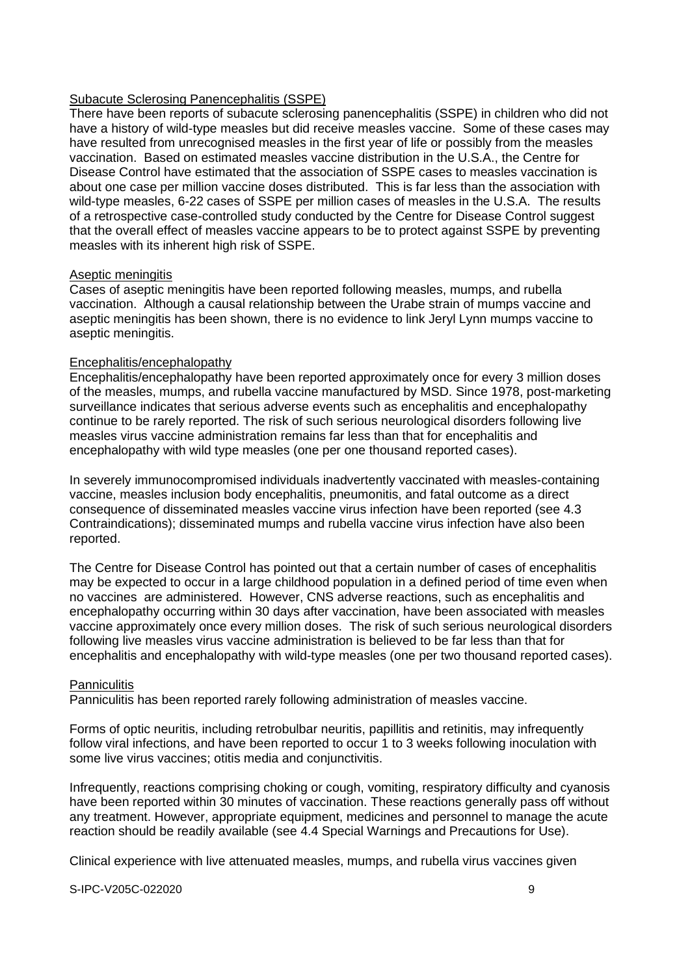## Subacute Sclerosing Panencephalitis (SSPE)

There have been reports of subacute sclerosing panencephalitis (SSPE) in children who did not have a history of wild-type measles but did receive measles vaccine. Some of these cases may have resulted from unrecognised measles in the first year of life or possibly from the measles vaccination. Based on estimated measles vaccine distribution in the U.S.A., the Centre for Disease Control have estimated that the association of SSPE cases to measles vaccination is about one case per million vaccine doses distributed. This is far less than the association with wild-type measles, 6-22 cases of SSPE per million cases of measles in the U.S.A. The results of a retrospective case-controlled study conducted by the Centre for Disease Control suggest that the overall effect of measles vaccine appears to be to protect against SSPE by preventing measles with its inherent high risk of SSPE.

### Aseptic meningitis

Cases of aseptic meningitis have been reported following measles, mumps, and rubella vaccination. Although a causal relationship between the Urabe strain of mumps vaccine and aseptic meningitis has been shown, there is no evidence to link Jeryl Lynn mumps vaccine to aseptic meningitis.

## Encephalitis/encephalopathy

Encephalitis/encephalopathy have been reported approximately once for every 3 million doses of the measles, mumps, and rubella vaccine manufactured by MSD. Since 1978, post-marketing surveillance indicates that serious adverse events such as encephalitis and encephalopathy continue to be rarely reported. The risk of such serious neurological disorders following live measles virus vaccine administration remains far less than that for encephalitis and encephalopathy with wild type measles (one per one thousand reported cases).

In severely immunocompromised individuals inadvertently vaccinated with measles-containing vaccine, measles inclusion body encephalitis, pneumonitis, and fatal outcome as a direct consequence of disseminated measles vaccine virus infection have been reported (see 4.3 Contraindications); disseminated mumps and rubella vaccine virus infection have also been reported.

The Centre for Disease Control has pointed out that a certain number of cases of encephalitis may be expected to occur in a large childhood population in a defined period of time even when no vaccines are administered. However, CNS adverse reactions, such as encephalitis and encephalopathy occurring within 30 days after vaccination, have been associated with measles vaccine approximately once every million doses. The risk of such serious neurological disorders following live measles virus vaccine administration is believed to be far less than that for encephalitis and encephalopathy with wild-type measles (one per two thousand reported cases).

### **Panniculitis**

Panniculitis has been reported rarely following administration of measles vaccine.

Forms of optic neuritis, including retrobulbar neuritis, papillitis and retinitis, may infrequently follow viral infections, and have been reported to occur 1 to 3 weeks following inoculation with some live virus vaccines; otitis media and conjunctivitis.

Infrequently, reactions comprising choking or cough, vomiting, respiratory difficulty and cyanosis have been reported within 30 minutes of vaccination. These reactions generally pass off without any treatment. However, appropriate equipment, medicines and personnel to manage the acute reaction should be readily available (see 4.4 Special Warnings and Precautions for Use).

Clinical experience with live attenuated measles, mumps, and rubella virus vaccines given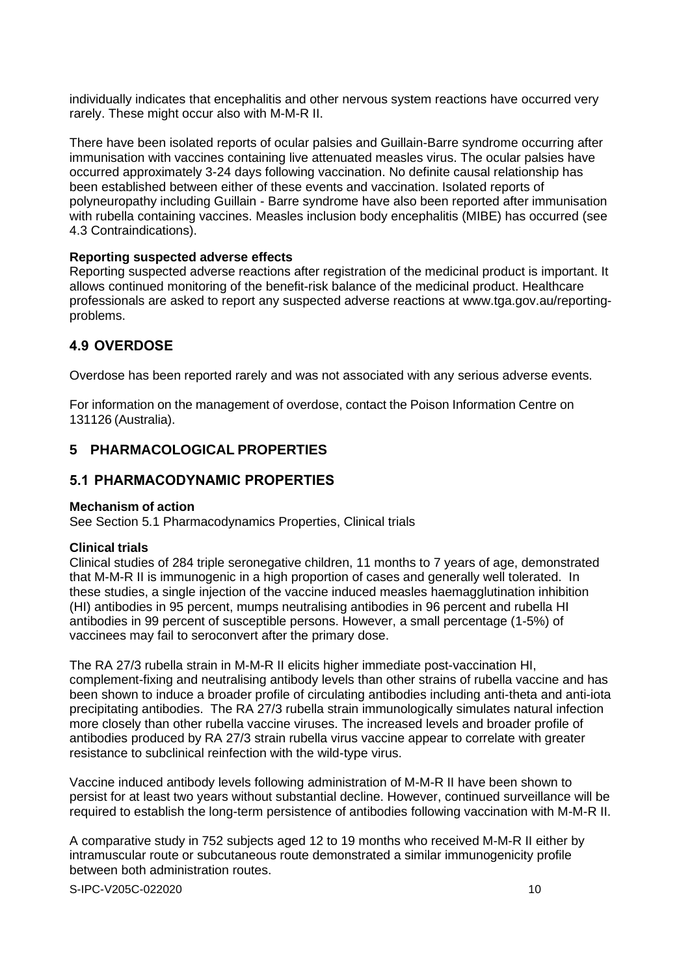individually indicates that encephalitis and other nervous system reactions have occurred very rarely. These might occur also with M-M-R II.

There have been isolated reports of ocular palsies and Guillain-Barre syndrome occurring after immunisation with vaccines containing live attenuated measles virus. The ocular palsies have occurred approximately 3-24 days following vaccination. No definite causal relationship has been established between either of these events and vaccination. Isolated reports of polyneuropathy including Guillain - Barre syndrome have also been reported after immunisation with rubella containing vaccines. Measles inclusion body encephalitis (MIBE) has occurred (see 4.3 Contraindications).

### **Reporting suspected adverse effects**

Reporting suspected adverse reactions after registration of the medicinal product is important. It allows continued monitoring of the benefit-risk balance of the medicinal product. Healthcare professionals are asked to report any suspected adverse reactions at [www.tga.gov.au/reporting](http://www.tga.gov.au/reporting-problems)[problems.](http://www.tga.gov.au/reporting-problems)

## **4.9 OVERDOSE**

Overdose has been reported rarely and was not associated with any serious adverse events.

For information on the management of overdose, contact the Poison Information Centre on 131126 (Australia).

## **5 PHARMACOLOGICAL PROPERTIES**

## **5.1 PHARMACODYNAMIC PROPERTIES**

### **Mechanism of action**

See Section 5.1 Pharmacodynamics Properties, Clinical trials

### **Clinical trials**

Clinical studies of 284 triple seronegative children, 11 months to 7 years of age, demonstrated that M-M-R II is immunogenic in a high proportion of cases and generally well tolerated. In these studies, a single injection of the vaccine induced measles haemagglutination inhibition (HI) antibodies in 95 percent, mumps neutralising antibodies in 96 percent and rubella HI antibodies in 99 percent of susceptible persons. However, a small percentage (1-5%) of vaccinees may fail to seroconvert after the primary dose.

The RA 27/3 rubella strain in M-M-R II elicits higher immediate post-vaccination HI, complement-fixing and neutralising antibody levels than other strains of rubella vaccine and has been shown to induce a broader profile of circulating antibodies including anti-theta and anti-iota precipitating antibodies. The RA 27/3 rubella strain immunologically simulates natural infection more closely than other rubella vaccine viruses. The increased levels and broader profile of antibodies produced by RA 27/3 strain rubella virus vaccine appear to correlate with greater resistance to subclinical reinfection with the wild-type virus.

Vaccine induced antibody levels following administration of M-M-R II have been shown to persist for at least two years without substantial decline. However, continued surveillance will be required to establish the long-term persistence of antibodies following vaccination with M-M-R II.

A comparative study in 752 subjects aged 12 to 19 months who received M-M-R II either by intramuscular route or subcutaneous route demonstrated a similar immunogenicity profile between both administration routes.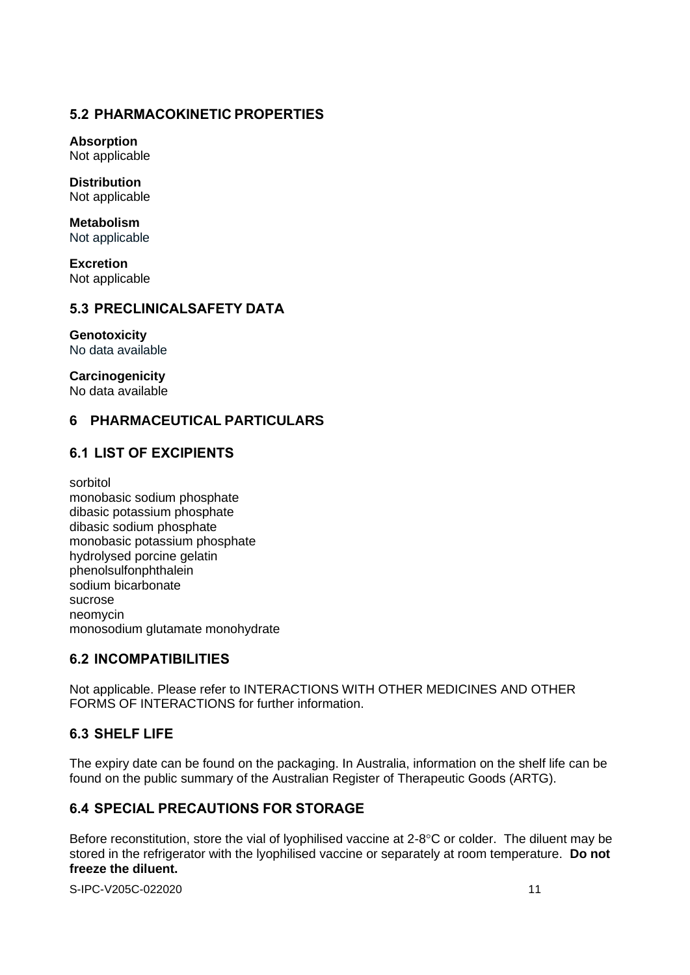# **5.2 PHARMACOKINETIC PROPERTIES**

**Absorption** Not applicable

**Distribution** Not applicable

**Metabolism** Not applicable

**Excretion** Not applicable

# **5.3 PRECLINICALSAFETY DATA**

**Genotoxicity** No data available

**Carcinogenicity** No data available

# **6 PHARMACEUTICAL PARTICULARS**

# **6.1 LIST OF EXCIPIENTS**

sorbitol monobasic sodium phosphate dibasic potassium phosphate dibasic sodium phosphate monobasic potassium phosphate hydrolysed porcine gelatin phenolsulfonphthalein sodium bicarbonate sucrose neomycin monosodium glutamate monohydrate

# **6.2 INCOMPATIBILITIES**

Not applicable. Please refer to INTERACTIONS WITH OTHER MEDICINES AND OTHER FORMS OF INTERACTIONS for further information.

# **6.3 SHELF LIFE**

The expiry date can be found on the packaging. In Australia, information on the shelf life can be found on the public summary of the Australian Register of Therapeutic Goods (ARTG).

# **6.4 SPECIAL PRECAUTIONS FOR STORAGE**

Before reconstitution, store the vial of lyophilised vaccine at  $2-8^{\circ}$ C or colder. The diluent may be stored in the refrigerator with the lyophilised vaccine or separately at room temperature. **Do not freeze the diluent.**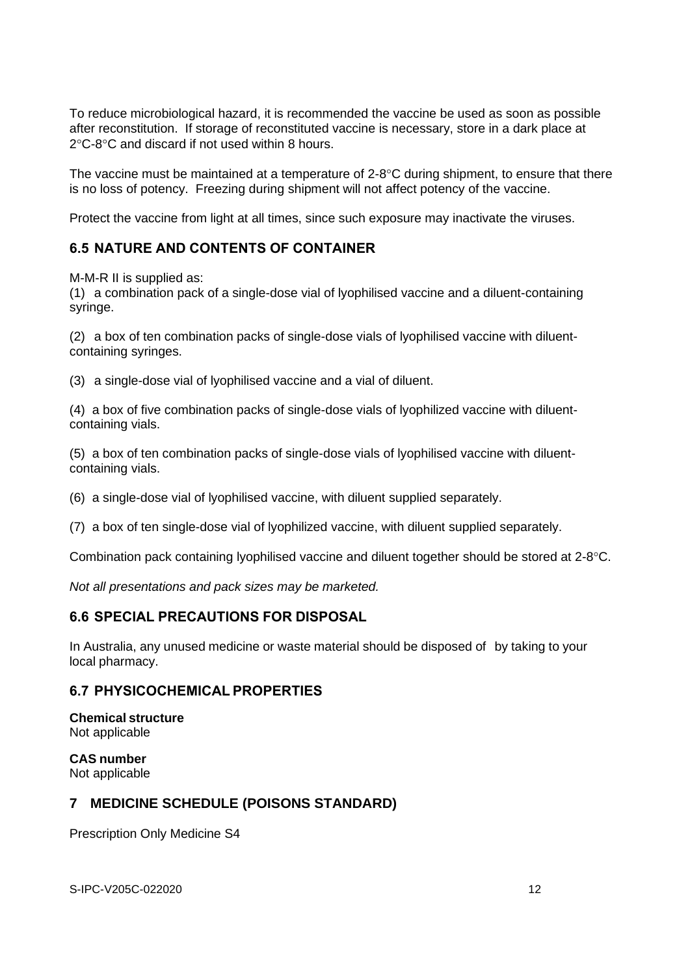To reduce microbiological hazard, it is recommended the vaccine be used as soon as possible after reconstitution. If storage of reconstituted vaccine is necessary, store in a dark place at  $2^{\circ}$ C-8 $^{\circ}$ C and discard if not used within 8 hours.

The vaccine must be maintained at a temperature of  $2-8\degree C$  during shipment, to ensure that there is no loss of potency. Freezing during shipment will not affect potency of the vaccine.

Protect the vaccine from light at all times, since such exposure may inactivate the viruses.

# **6.5 NATURE AND CONTENTS OF CONTAINER**

M-M-R II is supplied as:

(1) a combination pack of a single-dose vial of lyophilised vaccine and a diluent-containing syringe.

(2) a box of ten combination packs of single-dose vials of lyophilised vaccine with diluentcontaining syringes.

(3) a single-dose vial of lyophilised vaccine and a vial of diluent.

(4) a box of five combination packs of single-dose vials of lyophilized vaccine with diluentcontaining vials.

(5) a box of ten combination packs of single-dose vials of lyophilised vaccine with diluentcontaining vials.

(6) a single-dose vial of lyophilised vaccine, with diluent supplied separately.

(7) a box of ten single-dose vial of lyophilized vaccine, with diluent supplied separately.

Combination pack containing lyophilised vaccine and diluent together should be stored at 2-8°C.

*Not all presentations and pack sizes may be marketed.*

# **6.6 SPECIAL PRECAUTIONS FOR DISPOSAL**

In Australia, any unused medicine or waste material should be disposed of by taking to your local pharmacy.

## **6.7 PHYSICOCHEMICAL PROPERTIES**

**Chemical structure** Not applicable

**CAS number** Not applicable

# **7 MEDICINE SCHEDULE (POISONS STANDARD)**

Prescription Only Medicine S4